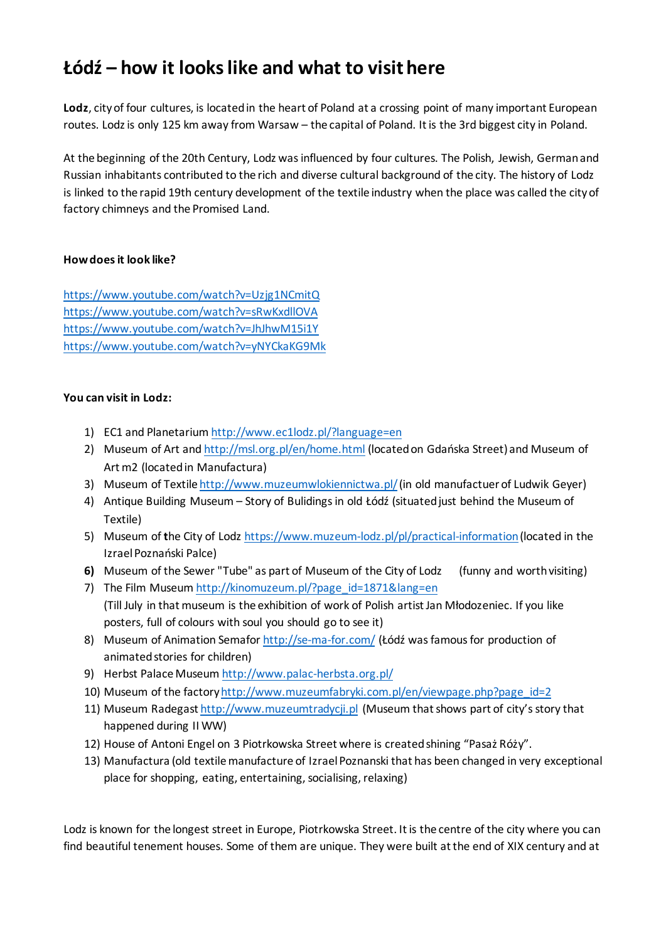## **Łódź – how it looks like and what to visit here**

**Lodz**, city of four cultures, is located in the heart of Poland at a crossing point of many important European routes. Lodz is only 125 km away from Warsaw – the capital of Poland. It is the 3rd biggest city in Poland.

At the beginning of the 20th Century, Lodz was influenced by four cultures. The Polish, Jewish, German and Russian inhabitants contributed to the rich and diverse cultural background of the city. The history of Lodz is linked to the rapid 19th century development of the textile industry when the place was called the city of factory chimneys and the Promised Land.

## **How does it look like?**

<https://www.youtube.com/watch?v=Uzjg1NCmitQ> <https://www.youtube.com/watch?v=sRwKxdllOVA> <https://www.youtube.com/watch?v=JhJhwM15i1Y> <https://www.youtube.com/watch?v=yNYCkaKG9Mk>

## **You can visit in Lodz:**

- 1) EC1 and Planetariu[m http://www.ec1lodz.pl/?language=en](http://www.ec1lodz.pl/?language=en)
- 2) Museum of Art an[d http://msl.org.pl/en/home.html](http://msl.org.pl/en/home.html) (located on Gdańska Street) and Museum of Art m2 (located in Manufactura)
- 3) Museum of Textil[e http://www.muzeumwlokiennictwa.pl/\(](http://www.muzeumwlokiennictwa.pl/)in old manufactuer of Ludwik Geyer)
- 4) Antique Building Museum Story of Bulidings in old Łódź (situated just behind the Museum of Textile)
- 5) Museum of **t**he City of Lodz [https://www.muzeum-lodz.pl/pl/practical-information\(](https://www.muzeum-lodz.pl/pl/practical-information)located in the Izrael Poznański Palce)
- **6)** Museum of the Sewer "Tube" as part of Museum of the City of Lodz (funny and worth visiting)
- 7) The Film Museum [http://kinomuzeum.pl/?page\\_id=1871&lang=en](http://kinomuzeum.pl/?page_id=1871&lang=en) (Till July in that museum is the exhibition of work of Polish artist Jan Młodozeniec. If you like posters, full of colours with soul you should go to see it)
- 8) Museum of Animation Semafor <http://se-ma-for.com/> (Łódź was famous for production of animated stories for children)
- 9) Herbst Palace Museu[m http://www.palac-herbsta.org.pl/](http://www.palac-herbsta.org.pl/)
- 10) Museum of the factor[y http://www.muzeumfabryki.com.pl/en/viewpage.php?page\\_id=2](http://www.muzeumfabryki.com.pl/en/viewpage.php?page_id=2)
- 11) Museum Radegas[t http://www.muzeumtradycji.pl](http://www.muzeumtradycji.pl/) (Museum that shows part of city's story that happened during II WW)
- 12) House of Antoni Engel on 3 Piotrkowska Street where is created shining "Pasaż Róży".
- 13) Manufactura (old textile manufacture of Izrael Poznanski that has been changed in very exceptional place for shopping, eating, entertaining, socialising, relaxing)

Lodz is known for the longest street in Europe, Piotrkowska Street. It is the centre of the city where you can find beautiful tenement houses. Some of them are unique. They were built at the end of XIX century and at